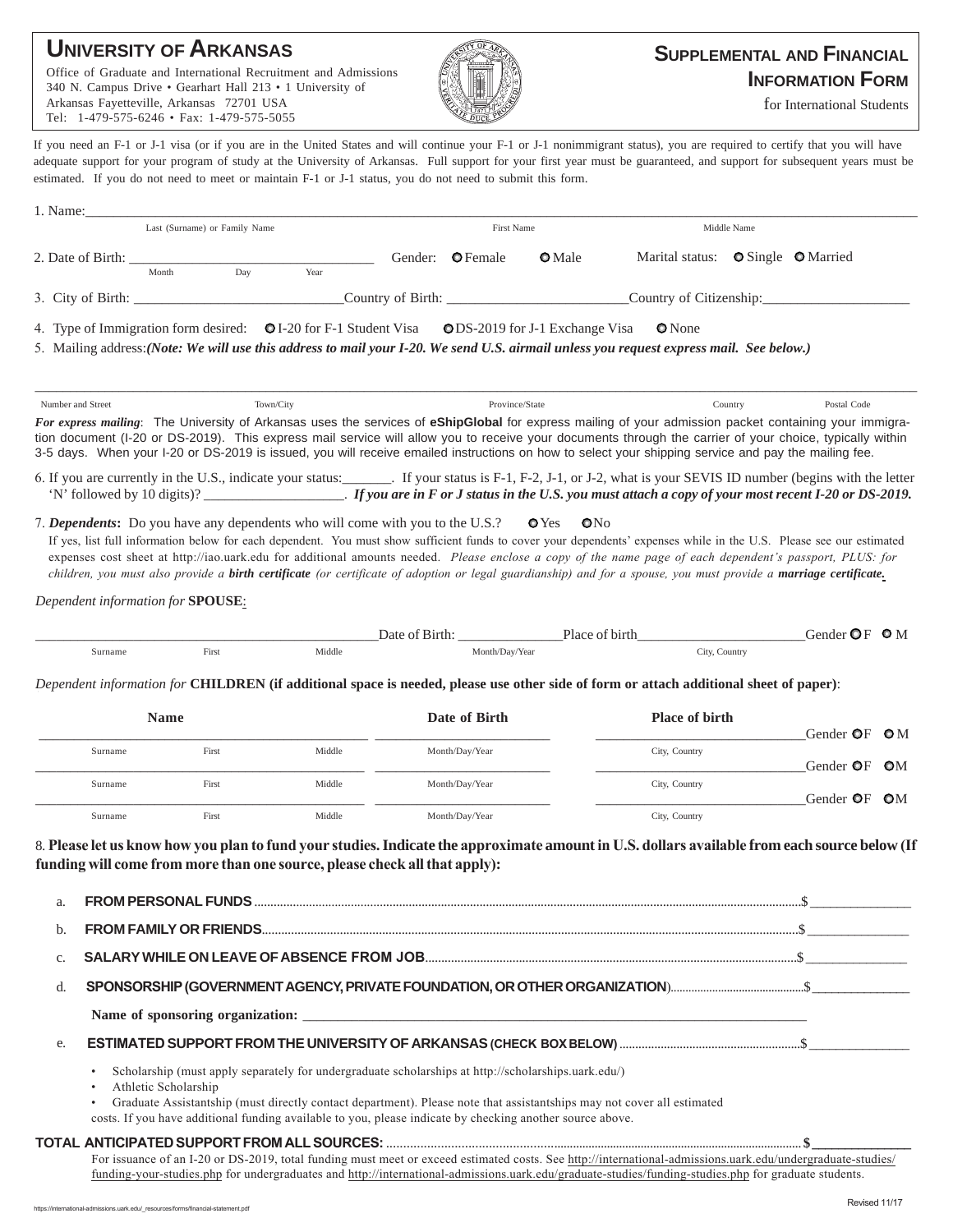## **UNIVERSITY OF ARKANSAS**

Office of Graduate and International Recruitment and Admissions 340 N. Campus Drive • Gearhart Hall 213 • 1 University of Arkansas Fayetteville, Arkansas 72701 USA Tel: 1-479-575-6246 • Fax: 1-479-575-5055



## **SUPPLEMENTAL AND FINANCIAL INFORMATION FORM**

for International Students

If you need an F-1 or J-1 visa (or if you are in the United States and will continue your F-1 or J-1 nonimmigrant status), you are required to certify that you will have adequate support for your program of study at the University of Arkansas. Full support for your first year must be guaranteed, and support for subsequent years must be estimated. If you do not need to meet or maintain F-1 or J-1 status, you do not need to submit this form.

| $1.$ Name:                    |                                                                                                                                                                                                                                                                                                                                                                         |                                                                                                    |                                                                                                                                                                           |            |                         |                                    |                                                                                                                                                                                                                                                                                                                                                                                                                                                                                                       |         |                                        |  |
|-------------------------------|-------------------------------------------------------------------------------------------------------------------------------------------------------------------------------------------------------------------------------------------------------------------------------------------------------------------------------------------------------------------------|----------------------------------------------------------------------------------------------------|---------------------------------------------------------------------------------------------------------------------------------------------------------------------------|------------|-------------------------|------------------------------------|-------------------------------------------------------------------------------------------------------------------------------------------------------------------------------------------------------------------------------------------------------------------------------------------------------------------------------------------------------------------------------------------------------------------------------------------------------------------------------------------------------|---------|----------------------------------------|--|
| Last (Surname) or Family Name |                                                                                                                                                                                                                                                                                                                                                                         |                                                                                                    |                                                                                                                                                                           | First Name | Middle Name             |                                    |                                                                                                                                                                                                                                                                                                                                                                                                                                                                                                       |         |                                        |  |
|                               | 2. Date of Birth: $\frac{1}{2}$<br>Month                                                                                                                                                                                                                                                                                                                                | Day                                                                                                | Year                                                                                                                                                                      |            | Gender: <b>O</b> Female | <b>O</b> Male                      | Marital status: O Single O Married                                                                                                                                                                                                                                                                                                                                                                                                                                                                    |         |                                        |  |
|                               | 3. City of Birth:                                                                                                                                                                                                                                                                                                                                                       |                                                                                                    |                                                                                                                                                                           |            |                         |                                    | Country of Citizenship:                                                                                                                                                                                                                                                                                                                                                                                                                                                                               |         |                                        |  |
|                               |                                                                                                                                                                                                                                                                                                                                                                         | 4. Type of Immigration form desired: $QI-20$ for F-1 Student Visa $QDS-2019$ for J-1 Exchange Visa |                                                                                                                                                                           |            |                         |                                    | <b>O</b> None<br>5. Mailing address: (Note: We will use this address to mail your I-20. We send U.S. airmail unless you request express mail. See below.)                                                                                                                                                                                                                                                                                                                                             |         |                                        |  |
| Number and Street             |                                                                                                                                                                                                                                                                                                                                                                         | Town/City                                                                                          |                                                                                                                                                                           |            | Province/State          |                                    |                                                                                                                                                                                                                                                                                                                                                                                                                                                                                                       | Country | Postal Code                            |  |
|                               |                                                                                                                                                                                                                                                                                                                                                                         |                                                                                                    |                                                                                                                                                                           |            |                         |                                    | For express mailing: The University of Arkansas uses the services of eShipGlobal for express mailing of your admission packet containing your immigra-<br>tion document (I-20 or DS-2019). This express mail service will allow you to receive your documents through the carrier of your choice, typically within<br>3-5 days. When your I-20 or DS-2019 is issued, you will receive emailed instructions on how to select your shipping service and pay the mailing fee.                            |         |                                        |  |
|                               |                                                                                                                                                                                                                                                                                                                                                                         |                                                                                                    |                                                                                                                                                                           |            |                         |                                    | 6. If you are currently in the U.S., indicate your status: If your status is F-1, F-2, J-1, or J-2, what is your SEVIS ID number (begins with the letter                                                                                                                                                                                                                                                                                                                                              |         |                                        |  |
|                               | Dependent information for <b>SPOUSE</b> :                                                                                                                                                                                                                                                                                                                               |                                                                                                    |                                                                                                                                                                           |            |                         |                                    | If yes, list full information below for each dependent. You must show sufficient funds to cover your dependents' expenses while in the U.S. Please see our estimated<br>expenses cost sheet at http://iao.uark.edu for additional amounts needed. Please enclose a copy of the name page of each dependent's passport, PLUS: for<br>children, you must also provide a birth certificate (or certificate of adoption or legal guardianship) and for a spouse, you must provide a marriage certificate. |         |                                        |  |
|                               | Surname                                                                                                                                                                                                                                                                                                                                                                 | First                                                                                              | Middle                                                                                                                                                                    |            | Month/Day/Year          |                                    | Date of Birth: Place of birth<br>City, Country                                                                                                                                                                                                                                                                                                                                                                                                                                                        |         | Gender $\mathbf{O}F \cdot \mathbf{O}M$ |  |
| <b>Name</b>                   |                                                                                                                                                                                                                                                                                                                                                                         |                                                                                                    | Dependent information for CHILDREN (if additional space is needed, please use other side of form or attach additional sheet of paper):<br>Date of Birth<br>Place of birth |            |                         | Gender $\mathbf{O}F$ $\mathbf{O}M$ |                                                                                                                                                                                                                                                                                                                                                                                                                                                                                                       |         |                                        |  |
|                               | Surname                                                                                                                                                                                                                                                                                                                                                                 | First                                                                                              | Middle                                                                                                                                                                    |            | Month/Day/Year          |                                    | City, Country                                                                                                                                                                                                                                                                                                                                                                                                                                                                                         |         | Gender <b>OF OM</b>                    |  |
|                               | Surname                                                                                                                                                                                                                                                                                                                                                                 | First                                                                                              | Middle                                                                                                                                                                    |            | Month/Day/Year          |                                    | City, Country                                                                                                                                                                                                                                                                                                                                                                                                                                                                                         |         | Gender OF OM                           |  |
|                               | Surname                                                                                                                                                                                                                                                                                                                                                                 | First                                                                                              | Middle                                                                                                                                                                    |            | Month/Day/Year          |                                    | City, Country                                                                                                                                                                                                                                                                                                                                                                                                                                                                                         |         |                                        |  |
| a.<br>b.                      |                                                                                                                                                                                                                                                                                                                                                                         | funding will come from more than one source, please check all that apply):                         |                                                                                                                                                                           |            |                         |                                    | 8. Please let us know how you plan to fund your studies. Indicate the approximate amount in U.S. dollars available from each source below (If                                                                                                                                                                                                                                                                                                                                                         |         |                                        |  |
| c.                            |                                                                                                                                                                                                                                                                                                                                                                         |                                                                                                    |                                                                                                                                                                           |            |                         |                                    |                                                                                                                                                                                                                                                                                                                                                                                                                                                                                                       |         |                                        |  |
| d.                            |                                                                                                                                                                                                                                                                                                                                                                         |                                                                                                    |                                                                                                                                                                           |            |                         |                                    |                                                                                                                                                                                                                                                                                                                                                                                                                                                                                                       |         |                                        |  |
|                               |                                                                                                                                                                                                                                                                                                                                                                         |                                                                                                    |                                                                                                                                                                           |            |                         |                                    |                                                                                                                                                                                                                                                                                                                                                                                                                                                                                                       |         |                                        |  |
| e.                            |                                                                                                                                                                                                                                                                                                                                                                         |                                                                                                    |                                                                                                                                                                           |            |                         |                                    |                                                                                                                                                                                                                                                                                                                                                                                                                                                                                                       |         |                                        |  |
|                               | Scholarship (must apply separately for undergraduate scholarships at http://scholarships.uark.edu/)<br>٠<br>Athletic Scholarship<br>Graduate Assistantship (must directly contact department). Please note that assistantships may not cover all estimated<br>costs. If you have additional funding available to you, please indicate by checking another source above. |                                                                                                    |                                                                                                                                                                           |            |                         |                                    |                                                                                                                                                                                                                                                                                                                                                                                                                                                                                                       |         |                                        |  |
|                               |                                                                                                                                                                                                                                                                                                                                                                         |                                                                                                    |                                                                                                                                                                           |            |                         |                                    |                                                                                                                                                                                                                                                                                                                                                                                                                                                                                                       |         |                                        |  |
|                               |                                                                                                                                                                                                                                                                                                                                                                         |                                                                                                    |                                                                                                                                                                           |            |                         |                                    | For issuance of an I-20 or DS-2019, total funding must meet or exceed estimated costs. See http://international-admissions.uark.edu/undergraduate-studies/<br>funding-your-studies.php for undergraduates and http://international-admissions.uark.edu/graduate-studies/funding-studies.php for graduate students.                                                                                                                                                                                    |         |                                        |  |